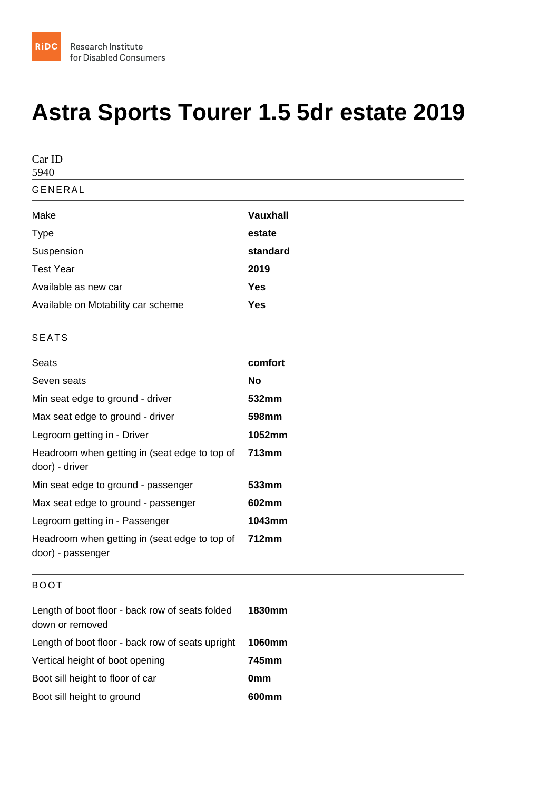## Astra Sports Tourer 1.5 5dr estate 2019

| Car ID<br>5940                                                     |                 |
|--------------------------------------------------------------------|-----------------|
| <b>GENERAL</b>                                                     |                 |
| Make                                                               | Vauxhall        |
| Type                                                               | estate          |
| Suspension                                                         | standard        |
| <b>Test Year</b>                                                   | 2019            |
| Available as new car                                               | Yes             |
| Available on Motability car scheme                                 | Yes             |
| <b>SEATS</b>                                                       |                 |
| <b>Seats</b>                                                       | comfort         |
| Seven seats                                                        | No              |
| Min seat edge to ground - driver                                   | 532mm           |
| Max seat edge to ground - driver                                   | 598mm           |
| Legroom getting in - Driver                                        | 1052mm          |
| Headroom when getting in (seat edge to top of<br>door) - driver    | 713mm           |
| Min seat edge to ground - passenger                                | 533mm           |
| Max seat edge to ground - passenger                                | 602mm           |
| Legroom getting in - Passenger                                     | 1043mm          |
| Headroom when getting in (seat edge to top of<br>door) - passenger | 712mm           |
| <b>BOOT</b>                                                        |                 |
| Length of boot floor - back row of seats folded<br>down or removed | 1830mm          |
| Length of boot floor - back row of seats upright                   | 1060mm          |
| Vertical height of boot opening                                    | 745mm           |
| Boot sill height to floor of car                                   | 0 <sub>mm</sub> |
| Boot sill height to ground                                         | 600mm           |